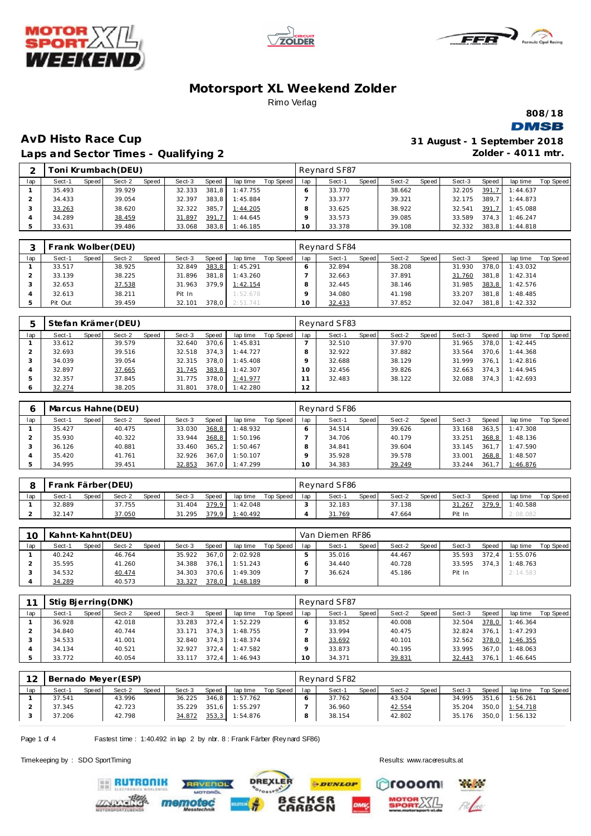





**808/18**

# **DMSB**

### **AvD Histo Race Cup Laps and Sector Times - Qualifying 2**

| 31 August - 1 September 2018 |                      |  |
|------------------------------|----------------------|--|
|                              | Zolder - $4011$ mtr. |  |

| $\sim$ |        |       | Toni Krumbach (DEU) |       |        |              |          |           |     | Revnard SF87 |       |        |       |        |       |          |           |
|--------|--------|-------|---------------------|-------|--------|--------------|----------|-----------|-----|--------------|-------|--------|-------|--------|-------|----------|-----------|
| lap    | Sect-1 | Speed | Sect-2              | Speed | Sect-3 | <b>Speed</b> | lap time | Top Speed | lap | Sect-1       | Speed | Sect-2 | Speed | Sect-3 | Speed | lap time | Top Speed |
|        | 35.493 |       | 39.929              |       | 32.333 | 381.8        | 1:47.755 |           |     | 33.770       |       | 38.662 |       | 32.205 | 391,7 | 1:44.637 |           |
|        | 34.433 |       | 39.054              |       | 32.397 | 383.8        | 1:45.884 |           |     | 33.377       |       | 39.321 |       | 32.175 | 389.7 | 1:44.873 |           |
|        | 33.263 |       | 38.620              |       | 32.322 | 385.         | 1:44.205 |           |     | 33.625       |       | 38.922 |       | 32.541 | 391.7 | 1:45.088 |           |
|        | 34.289 |       | 38.459              |       | 31.897 | 391.7        | 1:44.645 |           |     | 33.573       |       | 39.085 |       | 33.589 | 374.3 | 1:46.247 |           |
|        | 33.631 |       | 39.486              |       | 33.068 | 383.8        | 1:46.185 |           | 10  | 33.378       |       | 39.108 |       | 32.332 | 383.8 | 1:44.818 |           |

|     | Frank Wolber (DEU) |       |        |       |        |       |          |           |     | Reynard SF84 |       |        |       |        |       |          |           |
|-----|--------------------|-------|--------|-------|--------|-------|----------|-----------|-----|--------------|-------|--------|-------|--------|-------|----------|-----------|
| lap | Sect-1             | Speed | Sect-2 | Speed | Sect-3 | Speed | lap time | Top Speed | lap | Sect-1       | Speed | Sect-2 | Speed | Sect-3 | Speed | lap time | Top Speed |
|     | 33.517             |       | 38.925 |       | 32.849 | 383,8 | 1:45.291 |           |     | 32.894       |       | 38.208 |       | 31.930 | 378.0 | 1:43.032 |           |
|     | 33.139             |       | 38.225 |       | 31.896 | 381.8 | 1:43.260 |           |     | 32.663       |       | 37.891 |       | 31.760 | 381.8 | 1:42.314 |           |
|     | 32.653             |       | 37.538 |       | 31.963 | 379.9 | 1:42.154 |           |     | 32.445       |       | 38.146 |       | 31.985 | 383,8 | 1:42.576 |           |
|     | 32.613             |       | 38.211 |       | Pit In |       | 1:52.678 |           |     | 34.080       |       | 41.198 |       | 33.207 | 381.8 | 1:48.485 |           |
|     | Pit Out            |       | 39.459 |       | 32.101 | 378.0 | 2:51.741 |           | 10  | 32.433       |       | 37.852 |       | 32.047 | 381.8 | 1:42.332 |           |

| ь   | Stefan Krämer (DEU) |       |        |       |        |       |          |           |     | Reynard SF83 |       |        |       |        |       |          |           |
|-----|---------------------|-------|--------|-------|--------|-------|----------|-----------|-----|--------------|-------|--------|-------|--------|-------|----------|-----------|
| lap | Sect-1              | Speed | Sect-2 | Speed | Sect-3 | Speed | lap time | Top Speed | lap | Sect-1       | Speed | Sect-2 | Speed | Sect-3 | Speed | lap time | Top Speed |
|     | 33.612              |       | 39.579 |       | 32.640 | 370.6 | 1:45.831 |           |     | 32.510       |       | 37.970 |       | 31.965 | 378.0 | 1:42.445 |           |
|     | 32.693              |       | 39.516 |       | 32.518 | 374.3 | 1:44.727 |           |     | 32.922       |       | 37.882 |       | 33.564 | 370.6 | 1:44.368 |           |
|     | 34.039              |       | 39.054 |       | 32.315 | 378.0 | 1:45.408 |           |     | 32.688       |       | 38.129 |       | 31.999 | 376.1 | 1:42.816 |           |
|     | 32.897              |       | 37.665 |       | 31.745 | 383,8 | 1:42.307 |           | ۱O  | 32.456       |       | 39.826 |       | 32.663 | 374.3 | 1:44.945 |           |
|     | 32.357              |       | 37.845 |       | 31.775 | 378.0 | 1:41.977 |           |     | 32.483       |       | 38.122 |       | 32.088 | 374.3 | 1:42.693 |           |
|     | 32.274              |       | 38.205 |       | 31.801 | 378.0 | 1:42.280 |           | 12  |              |       |        |       |        |       |          |           |

|     |        |       | Marcus Hahne (DEU) |       |        |       |          |           |     | Reynard SF86 |       |        |       |        |       |          |           |
|-----|--------|-------|--------------------|-------|--------|-------|----------|-----------|-----|--------------|-------|--------|-------|--------|-------|----------|-----------|
| lap | Sect-1 | Speed | Sect-2             | Speed | Sect-3 | Speed | lap time | Top Speed | lap | Sect-1       | Speed | Sect-2 | Speed | Sect-3 | Speed | lap time | Top Speed |
|     | 35.427 |       | 40.475             |       | 33.030 | 368,8 | 1:48.932 |           |     | 34.514       |       | 39.626 |       | 33.168 | 363.5 | 1:47.308 |           |
|     | 35.930 |       | 40.322             |       | 33.944 | 368,8 | 1:50.196 |           |     | 34.706       |       | 40.179 |       | 33.251 | 368,8 | 1:48.136 |           |
|     | 36.126 |       | 40.881             |       | 33.460 | 365.2 | 1:50.467 |           |     | 34.841       |       | 39.604 |       | 33.145 | 361.7 | 1:47.590 |           |
|     | 35.420 |       | 41.761             |       | 32.926 | 367.0 | 1:50.107 |           |     | 35.928       |       | 39.578 |       | 33.001 | 368,8 | 1:48.507 |           |
|     | 34.995 |       | 39.451             |       | 32.853 | 367.0 | 1:47.299 |           | 10  | 34.383       |       | 39.249 |       | 33.244 | 361.7 | 1:46.876 |           |

|     | Frank Färber (DEU) |       |        |       |        |       |          |           |     | Revnard SF86 |       |        |       |        |              |          |           |
|-----|--------------------|-------|--------|-------|--------|-------|----------|-----------|-----|--------------|-------|--------|-------|--------|--------------|----------|-----------|
| lap | Sect-1             | Speed | Sect-2 | Speed | Sect-3 | Speed | lap time | Top Speed | lap | Sect-1       | Speed | Sect-2 | Speed | Sect-3 | <b>Speed</b> | lap time | Top Speed |
|     | 32.889             |       | 37.755 |       | 31.404 | 379.9 | 1:42.048 |           |     | 32.183       |       | 37.138 |       | 31.267 | 379.91       | 1:40.588 |           |
|     | 32.147             |       | 37.050 |       | 31.295 | 379,9 | 1:40.492 |           |     | 31.769       |       | 47.664 |       | Pit In |              | :08.082  |           |

| 10  | Kahnt-Kahnt (DEU) |         |        |       |        |       |                |           |     | Van Diemen RF86 |       |        |       |        |         |          |           |
|-----|-------------------|---------|--------|-------|--------|-------|----------------|-----------|-----|-----------------|-------|--------|-------|--------|---------|----------|-----------|
| lap | Sect-1            | Speed I | Sect-2 | Speed | Sect-3 | Speed | lap time       | Top Speed | lap | Sect-1          | Speed | Sect-2 | Speed | Sect-3 | Speed   | lap time | Top Speed |
|     | 40.242            |         | 46.764 |       | 35.922 | 367.0 | 2:02.928       |           |     | 35.016          |       | 44.467 |       | 35.593 | $372.4$ | 1:55.076 |           |
|     | 35.595            |         | 41.260 |       | 34.388 | 376.1 | 1:51.243       |           |     | 34.440          |       | 40.728 |       | 33.595 | 374.3   | 1:48.763 |           |
|     | 34.532            |         | 40.474 |       | 34.303 |       | 370.6 1:49.309 |           |     | 36.624          |       | 45.186 |       | Pit In |         | 2:14.583 |           |
|     | 34.289            |         | 40.573 |       | 33.327 | 378,0 | 1:48.189       |           | 8   |                 |       |        |       |        |         |          |           |

|     | Stig Bjerring (DNK) |       |        |       |        |       |          |           |                 | Reynard SF87 |       |        |       |        |       |          |           |
|-----|---------------------|-------|--------|-------|--------|-------|----------|-----------|-----------------|--------------|-------|--------|-------|--------|-------|----------|-----------|
| lap | Sect-1              | Speed | Sect-2 | Speed | Sect-3 | Speed | lap time | Top Speed | lap             | Sect-1       | Speed | Sect-2 | Speed | Sect-3 | Speed | lap time | Top Speed |
|     | 36.928              |       | 42.018 |       | 33.283 | 372.4 | 1:52.229 |           |                 | 33.852       |       | 40.008 |       | 32.504 | 378,0 | 1:46.364 |           |
|     | 34.840              |       | 40.744 |       | 33.171 | 374.3 | 1:48.755 |           |                 | 33.994       |       | 40.475 |       | 32.824 | 376.1 | 1:47.293 |           |
|     | 34.533              |       | 41.001 |       | 32.840 | 374.3 | 1:48.374 |           |                 | 33.692       |       | 40.101 |       | 32.562 | 378,0 | 1:46.355 |           |
|     | 34.134              |       | 40.521 |       | 32.927 | 372.4 | 1:47.582 |           |                 | 33.873       |       | 40.195 |       | 33.995 | 367.0 | 1:48.063 |           |
|     | 33.772              |       | 40.054 |       | 33.117 | 372.4 | 1:46.943 |           | 10 <sup>°</sup> | 34.371       |       | 39.831 |       | 32.443 | 376,1 | 1:46.645 |           |

| 12  |        |       | Bernado Meyer (ESP) |              |        |       |          |             |     | Revnard SF82 |       |        |       |              |       |                |           |
|-----|--------|-------|---------------------|--------------|--------|-------|----------|-------------|-----|--------------|-------|--------|-------|--------------|-------|----------------|-----------|
| lap | Sect-1 | Speed | Sect-2              | <b>Speed</b> | Sect-3 | Speed | lap time | Top Speed I | lap | Sect-1       | Speed | Sect-2 | Speed | Sect-3       | Speed | lap time       | Top Speed |
|     | 37.541 |       | 43.996              |              | 36.225 | 346.8 | 1:57.762 |             |     | 37.762       |       | 43.504 |       | 34.995 351.6 |       | 1:56.261       |           |
|     | 37.345 |       | 42.723              |              | 35.229 | 351.6 | 1:55.297 |             |     | 36.960       |       | 42.554 |       | 35.204       |       | 350,0 1:54.718 |           |
|     | 37.206 |       | 42.798              |              | 34.872 | 353,3 | 1:54.876 |             |     | 38.154       |       | 42.802 |       | 35.176       | 350,0 | 1:56.132       |           |

**DREXLER** 

 $\cdot$   $\circ$ <sup>\*</sup>

Page 1 of 4 Fastest time : 1:40.492 in lap 2 by nbr. 8 : Frank Färber (Rey nard SF86)

**AVENOL** 

Timekeeping by : SDO SportTiming Results:<www.raceresults.at>





**ERUTRONIK** mem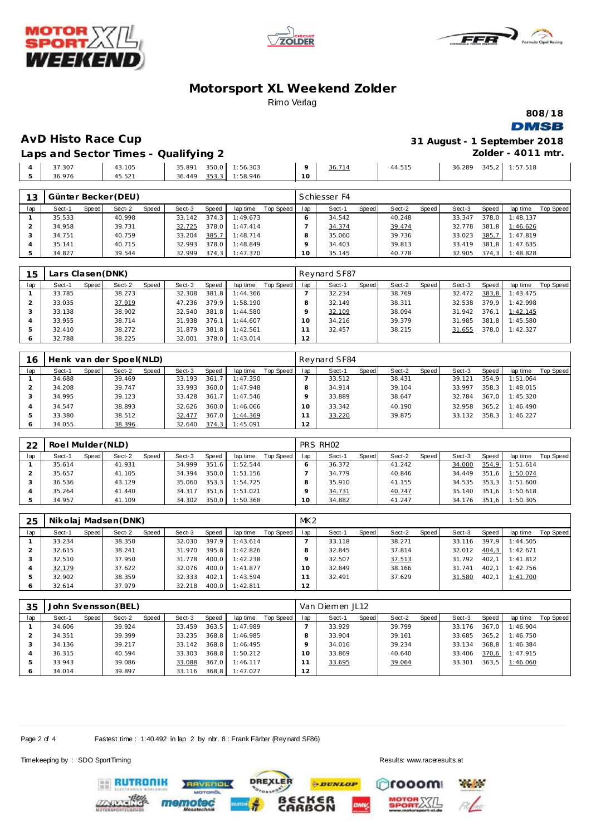





**808/18**

**DMSB** 

**AvD Histo Race Cup 31 August - 1 September 2018 Zolder - 4011 mtr.**

**Laps and Sector Times - Qualifying 2**

|        |        | __              |           |    |        |        |                 |          |
|--------|--------|-----------------|-----------|----|--------|--------|-----------------|----------|
| 37.307 | 43.105 | 350,0<br>35.891 | : 56.303  |    | 36.714 | 44.515 | 36.289<br>345,2 | : 57.518 |
| 36.976 | 45.521 | 353,3<br>36.449 | 58.946، ، | 10 |        |        |                 |          |
|        |        |                 |           |    |        |        |                 |          |

| 13  |        |         | Günter Becker (DEU) |       |        |       |          |           |     | Schiesser F4 |       |        |       |        |       |          |           |
|-----|--------|---------|---------------------|-------|--------|-------|----------|-----------|-----|--------------|-------|--------|-------|--------|-------|----------|-----------|
| lap | Sect-1 | Speed I | Sect-2              | Speed | Sect-3 | Speed | lap time | Top Speed | lap | Sect-1       | Speed | Sect-2 | Speed | Sect-3 | Speed | lap time | Top Speed |
|     | 35.533 |         | 40.998              |       | 33.142 | 374.3 | 1:49.673 |           |     | 34.542       |       | 40.248 |       | 33.347 | 378.0 | 1:48.137 |           |
|     | 34.958 |         | 39.731              |       | 32.725 | 378.0 | 1:47.414 |           |     | 34.374       |       | 39.474 |       | 32.778 | 381.8 | 1:46.626 |           |
|     | 34.751 |         | 40.759              |       | 33.204 | 385,7 | 1:48.714 |           |     | 35.060       |       | 39.736 |       | 33.023 | 385,7 | 1:47.819 |           |
|     | 35.141 |         | 40.715              |       | 32.993 | 378.0 | 1:48.849 |           |     | 34.403       |       | 39.813 |       | 33.419 | 381.8 | 1:47.635 |           |
|     | 34.827 |         | 39.544              |       | 32.999 | 374.3 | 1:47.370 |           |     | 35.145       |       | 40.778 |       | 32.905 | 374.3 | 1:48.828 |           |

| 15  | Lars Clasen (DNK) |       |        |       |        |       |          |           |          | Reynard SF87 |       |        |       |        |       |          |           |
|-----|-------------------|-------|--------|-------|--------|-------|----------|-----------|----------|--------------|-------|--------|-------|--------|-------|----------|-----------|
| lap | Sect-1            | Speed | Sect-2 | Speed | Sect-3 | Speed | lap time | Top Speed | lap      | Sect-1       | Speed | Sect-2 | Speed | Sect-3 | Speed | lap time | Top Speed |
|     | 33.785            |       | 38.273 |       | 32.308 | 381.8 | 1:44.366 |           |          | 32.234       |       | 38.769 |       | 32.472 | 383,8 | 1:43.475 |           |
|     | 33.035            |       | 37.919 |       | 47.236 | 379.9 | 1:58.190 |           |          | 32.149       |       | 38.311 |       | 32.538 | 379.9 | 1:42.998 |           |
|     | 33.138            |       | 38.902 |       | 32.540 | 381.8 | 1:44.580 |           |          | 32.109       |       | 38.094 |       | 31.942 | 376.1 | 1:42.145 |           |
|     | 33.955            |       | 38.714 |       | 31.938 | 376.1 | 1:44.607 |           | $\Omega$ | 34.216       |       | 39.379 |       | 31.985 | 381.8 | 1:45.580 |           |
|     | 32.410            |       | 38.272 |       | 31.879 | 381.8 | 1:42.561 |           |          | 32.457       |       | 38.215 |       | 31.655 | 378.0 | 1:42.327 |           |
|     | 32.788            |       | 38.225 |       | 32.001 | 378.0 | 1:43.014 |           | 12       |              |       |        |       |        |       |          |           |

| 16  |        |       | Henk van der Spoel(NLD) |       |        |       |          |           |                | Reynard SF84 |       |        |       |        |       |          |           |
|-----|--------|-------|-------------------------|-------|--------|-------|----------|-----------|----------------|--------------|-------|--------|-------|--------|-------|----------|-----------|
| lap | Sect-1 | Speed | Sect-2                  | Speed | Sect-3 | Speed | lap time | Top Speed | lap            | Sect-1       | Speed | Sect-2 | Speed | Sect-3 | Speed | lap time | Top Speed |
|     | 34.688 |       | 39.469                  |       | 33.193 | 361.7 | 1:47.350 |           |                | 33.512       |       | 38.431 |       | 39.121 | 354.9 | 1:51.064 |           |
|     | 34.208 |       | 39.747                  |       | 33.993 | 360.0 | 1:47.948 |           |                | 34.914       |       | 39.104 |       | 33.997 | 358.3 | 1:48.015 |           |
|     | 34.995 |       | 39.123                  |       | 33.428 | 361.7 | 1:47.546 |           |                | 33.889       |       | 38.647 |       | 32.784 | 367.0 | 1:45.320 |           |
|     | 34.547 |       | 38.893                  |       | 32.626 | 360.0 | 1:46.066 |           |                | 33.342       |       | 40.190 |       | 32.958 | 365.2 | 1:46.490 |           |
|     | 33.380 |       | 38.512                  |       | 32.477 | 367.0 | 1:44.369 |           |                | 33.220       |       | 39.875 |       | 33.132 | 358.3 | 1:46.227 |           |
| 6   | 34.055 |       | 38.396                  |       | 32.640 | 374,3 | 1:45.091 |           | $\overline{2}$ |              |       |        |       |        |       |          |           |

| 22  | Roel Mulder (NLD) |       |        |       |        |       |          |           |     | PRS RH <sub>02</sub> |       |        |       |        |       |          |           |
|-----|-------------------|-------|--------|-------|--------|-------|----------|-----------|-----|----------------------|-------|--------|-------|--------|-------|----------|-----------|
| lap | Sect-1            | Speed | Sect-2 | Speed | Sect-3 | Speed | lap time | Top Speed | lap | Sect-1               | Speed | Sect-2 | Speed | Sect-3 | Speed | lap time | Top Speed |
|     | 35.614            |       | 41.931 |       | 34.999 | 351.6 | 1:52.544 |           |     | 36.372               |       | 41.242 |       | 34.000 | 354,9 | 1:51.614 |           |
|     | 35.657            |       | 41.105 |       | 34.394 | 350.0 | 1:51.156 |           |     | 34.779               |       | 40.846 |       | 34.449 | 351.6 | 1:50.074 |           |
|     | 36.536            |       | 43.129 |       | 35.060 | 353.3 | 1:54.725 |           |     | 35.910               |       | 41.155 |       | 34.535 | 353.3 | 1:51.600 |           |
|     | 35.264            |       | 41.440 |       | 34.317 | 351.6 | 1:51.021 |           |     | 34.731               |       | 40.747 |       | 35.140 | 351.6 | : 50.618 |           |
|     | 34.957            |       | 41.109 |       | 34.302 | 350.0 | 1:50.368 |           | 0   | 34.882               |       | 41.247 |       | 34.176 | 351,6 | 1:50.305 |           |

| 25  |        |       | Nikolaj Madsen (DNK) |       |        |       |          |           | MK <sub>2</sub> |        |       |        |       |        |       |          |           |
|-----|--------|-------|----------------------|-------|--------|-------|----------|-----------|-----------------|--------|-------|--------|-------|--------|-------|----------|-----------|
| lap | Sect-1 | Speed | Sect-2               | Speed | Sect-3 | Speed | lap time | Top Speed | lap             | Sect-1 | Speed | Sect-2 | Speed | Sect-3 | Speed | lap time | Top Speed |
|     | 33.234 |       | 38.350               |       | 32.030 | 397.9 | 1:43.614 |           |                 | 33.118 |       | 38.271 |       | 33.116 | 397.9 | 1:44.505 |           |
|     | 32.615 |       | 38.241               |       | 31.970 | 395.8 | 1:42.826 |           |                 | 32.845 |       | 37.814 |       | 32.012 | 404,3 | 1:42.671 |           |
|     | 32.510 |       | 37.950               |       | 31.778 | 400.0 | 1:42.238 |           |                 | 32.507 |       | 37.513 |       | 31.792 | 402.1 | 1:41.812 |           |
| 4   | 32.179 |       | 37.622               |       | 32.076 | 400.0 | 1:41.877 |           | $10^{-1}$       | 32.849 |       | 38.166 |       | 31.741 | 402.1 | 1:42.756 |           |
| 5   | 32.902 |       | 38.359               |       | 32.333 | 402.1 | 1:43.594 |           |                 | 32.491 |       | 37.629 |       | 31.580 | 402.1 | 1:41.700 |           |
| O   | 32.614 |       | 37.979               |       | 32.218 | 400.0 | 1:42.811 |           | 12              |        |       |        |       |        |       |          |           |

| 35  |        |       | John Svensson (BEL) |       |        |       |          |           |     | Van Diemen JL12 |       |        |       |        |       |          |           |
|-----|--------|-------|---------------------|-------|--------|-------|----------|-----------|-----|-----------------|-------|--------|-------|--------|-------|----------|-----------|
| lap | Sect-1 | Speed | Sect-2              | Speed | Sect-3 | Speed | lap time | Top Speed | lap | Sect-1          | Speed | Sect-2 | Speed | Sect-3 | Speed | lap time | Top Speed |
|     | 34.606 |       | 39.924              |       | 33.459 | 363.5 | 1:47.989 |           |     | 33.929          |       | 39.799 |       | 33.176 | 367.0 | 1:46.904 |           |
|     | 34.351 |       | 39.399              |       | 33.235 | 368.8 | 1:46.985 |           |     | 33.904          |       | 39.161 |       | 33.685 | 365.2 | 1:46.750 |           |
|     | 34.136 |       | 39.217              |       | 33.142 | 368.8 | 1:46.495 |           |     | 34.016          |       | 39.234 |       | 33.134 | 368.8 | 1:46.384 |           |
| 4   | 36.315 |       | 40.594              |       | 33.303 | 368.8 | 1:50.212 |           | 10  | 33.869          |       | 40.640 |       | 33.406 | 370.6 | 1:47.915 |           |
| .5  | 33.943 |       | 39.086              |       | 33.088 | 367.0 | 1:46.117 |           |     | 33.695          |       | 39.064 |       | 33.301 | 363.5 | 1:46.060 |           |
|     | 34.014 |       | 39.897              |       | 33.116 | 368.8 | 1:47.027 |           | 12  |                 |       |        |       |        |       |          |           |

**DREXLER** 

**PDUNLOP** 

í€R<br>ON

Page 2 of 4 Fastest time : 1:40.492 in lap 2 by nbr. 8 : Frank Färber (Rey nard SF86)

**TVENDL** 

Timekeeping by : SDO SportTiming Results:<www.raceresults.at>

**ERUTRONIK** 

rooom

**Particular**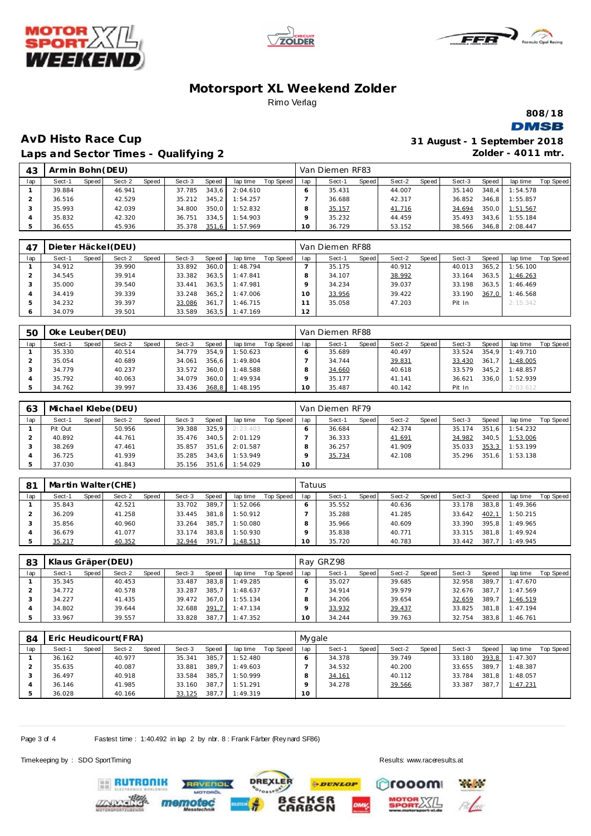





**808/18**

### **DMSB**

# **AvD Histo Race Cup Laps and Sector Times - Qualifying 2**

| 31 August - 1 September 2018 |
|------------------------------|
| Zolder - 4011 mtr.           |

| 43            | Armin Bohn (DEU) |       |        |       |        |       |          |           |     | Van Diemen RF83 |       |        |       |        |       |                |                  |
|---------------|------------------|-------|--------|-------|--------|-------|----------|-----------|-----|-----------------|-------|--------|-------|--------|-------|----------------|------------------|
| lap           | Sect-1           | Speed | Sect-2 | Speed | Sect-3 | Speed | lap time | Top Speed | lap | Sect-1          | Speed | Sect-2 | Speed | Sect-3 | Speed | lap time       | <b>Top Speed</b> |
|               | 39.884           |       | 46.941 |       | 37.785 | 343.6 | 2:04.610 |           |     | 35.431          |       | 44.007 |       | 35.140 | 348.4 | 1:54.578       |                  |
|               | 36.516           |       | 42.529 |       | 35.212 | 345.2 | 1:54.257 |           |     | 36.688          |       | 42.317 |       | 36.852 | 346.8 | 1:55.857       |                  |
|               | 35.993           |       | 42.039 |       | 34.800 | 350.0 | 1:52.832 |           |     | 35.157          |       | 41.716 |       | 34.694 | 350.0 | 1:51.567       |                  |
|               | 35.832           |       | 42.320 |       | 36.751 | 334.5 | 1:54.903 |           |     | 35.232          |       | 44.459 |       | 35.493 | 343.6 | 1:55.184       |                  |
| $\mathcal{P}$ | 36.655           |       | 45.936 |       | 35.378 | 351,6 | 1:57.969 |           | 1 O | 36.729          |       | 53.152 |       | 38.566 |       | 346,8 2:08.447 |                  |

| 47  |        |       | Dieter Häckel (DEU) |       |        |       |          |           |     | Van Diemen RF88 |       |        |       |        |       |          |           |
|-----|--------|-------|---------------------|-------|--------|-------|----------|-----------|-----|-----------------|-------|--------|-------|--------|-------|----------|-----------|
| lap | Sect-1 | Speed | Sect-2              | Speed | Sect-3 | Speed | lap time | Top Speed | lap | Sect-1          | Speed | Sect-2 | Speed | Sect-3 | Speed | lap time | Top Speed |
|     | 34.912 |       | 39.990              |       | 33.892 | 360.0 | 1:48.794 |           |     | 35.175          |       | 40.912 |       | 40.013 | 365.2 | 1:56.100 |           |
|     | 34.545 |       | 39.914              |       | 33.382 | 363.5 | 1:47.841 |           |     | 34.107          |       | 38.992 |       | 33.164 | 363.5 | 1:46.263 |           |
|     | 35,000 |       | 39.540              |       | 33.441 | 363.5 | 1:47.981 |           |     | 34.234          |       | 39.037 |       | 33.198 | 363.5 | 1:46.469 |           |
|     | 34.419 |       | 39.339              |       | 33.248 | 365.2 | 1:47.006 |           | 10  | 33.956          |       | 39.422 |       | 33.190 | 367.0 | 1:46.568 |           |
|     | 34.232 |       | 39.397              |       | 33.086 | 361.7 | 1:46.715 |           |     | 35.058          |       | 47.203 |       | Pit In |       | 2:15.342 |           |
|     | 34.079 |       | 39.501              |       | 33.589 | 363.5 | 1:47.169 |           | 12  |                 |       |        |       |        |       |          |           |

| 5C  | Oke Leuber(DEU) |        |       |        |       |          |           |     | Van Diemen RF88 |       |        |       |        |              |          |           |
|-----|-----------------|--------|-------|--------|-------|----------|-----------|-----|-----------------|-------|--------|-------|--------|--------------|----------|-----------|
| lap | Speed<br>Sect-1 | Sect-2 | Speed | Sect-3 | Speed | lap time | Top Speed | lap | Sect-1          | Speed | Sect-2 | Speed | Sect-3 | <b>Speed</b> | lap time | Top Speed |
|     | 35.330          | 40.514 |       | 34.779 | 354.9 | 1:50.623 |           |     | 35.689          |       | 40.497 |       | 33.524 | 354.9        | 1:49.710 |           |
|     | 35.054          | 40.689 |       | 34.061 | 356.6 | 1:49.804 |           |     | 34.744          |       | 39.831 |       | 33.430 | 361.7        | 1:48.005 |           |
|     | 34.779          | 40.237 |       | 33.572 | 360.0 | 1:48.588 |           |     | 34.660          |       | 40.618 |       | 33.579 | 345.2        | 1:48.857 |           |
|     | 35.792          | 40.063 |       | 34.079 | 360.0 | 1:49.934 |           |     | 35.177          |       | 41.141 |       | 36.621 | 336.0        | 1:52.939 |           |
|     | 34.762          | 39.997 |       | 33.436 | 368,8 | 1:48.195 |           |     | 35.487          |       | 40.142 |       | Pit In |              | 2:03.612 |           |

| 63  |         |       | Michael Klebe (DEU) |       |              |       |          |           |                 | Van Diemen RF79 |       |        |       |        |       |          |           |
|-----|---------|-------|---------------------|-------|--------------|-------|----------|-----------|-----------------|-----------------|-------|--------|-------|--------|-------|----------|-----------|
| lap | Sect-1  | Speed | Sect-2              | Speed | Sect-3       | Speed | lap time | Top Speed | lap             | Sect-1          | Speed | Sect-2 | Speed | Sect-3 | Speed | lap time | Top Speed |
|     | Pit Out |       | 50.956              |       | 39.388       | 325.9 | 2:23.403 |           |                 | 36.684          |       | 42.374 |       | 35.174 | 351.6 | 1:54.232 |           |
|     | 40.892  |       | 44.761              |       | 35.476       | 340.5 | 2:01.129 |           |                 | 36.333          |       | 41.691 |       | 34.982 | 340.5 | 1:53.006 |           |
|     | 38.269  |       | 47.461              |       | 35.857       | 351.6 | 2:01.587 |           |                 | 36.257          |       | 41.909 |       | 35.033 | 353,3 | 1:53.199 |           |
|     | 36.725  |       | 41.939              |       | 35.285       | 343.6 | 1:53.949 |           |                 | 35.734          |       | 42.108 |       | 35.296 | 351.6 | 1:53.138 |           |
|     | 37.030  |       | 41.843              |       | 35.156 351.6 |       | 1:54.029 |           | 10 <sup>1</sup> |                 |       |        |       |        |       |          |           |

| 81  | Martin Walter (CHE) |                 |        |       |          |           | Tatuus |        |       |        |       |        |       |          |           |
|-----|---------------------|-----------------|--------|-------|----------|-----------|--------|--------|-------|--------|-------|--------|-------|----------|-----------|
| lap | Speed<br>Sect-1     | Speed<br>Sect-2 | Sect-3 | Speed | lap time | Top Speed | lap    | Sect-1 | Speed | Sect-2 | Speed | Sect-3 | Speed | lap time | Top Speed |
|     | 35.843              | 42.521          | 33.702 | 389.7 | 1:52.066 |           |        | 35.552 |       | 40.636 |       | 33.178 | 383.8 | 1:49.366 |           |
|     | 36.209              | 41.258          | 33.445 | 381.8 | 1:50.912 |           |        | 35.288 |       | 41.285 |       | 33.642 | 402.1 | 1:50.215 |           |
|     | 35.856              | 40.960          | 33.264 | 385.7 | 1:50.080 |           |        | 35.966 |       | 40.609 |       | 33.390 | 395.8 | 1:49.965 |           |
|     | 36.679              | 41.077          | 33.174 | 383.8 | 1:50.930 |           |        | 35.838 |       | 40.771 |       | 33.315 | 381.8 | 1:49.924 |           |
|     | 35.217              | 40.352          | 32.944 | 391.7 | 1:48.513 |           | O      | 35.720 |       | 40.783 |       | 33.442 | 387.7 | 1:49.945 |           |

| 83  | Klaus Gräper (DEU) |       |        |       |        |       |          |           |     | Ray GRZ98 |       |        |       |        |       |          |           |
|-----|--------------------|-------|--------|-------|--------|-------|----------|-----------|-----|-----------|-------|--------|-------|--------|-------|----------|-----------|
| lap | Sect-1             | Speed | Sect-2 | Speed | Sect-3 | Speed | lap time | Top Speed | lap | Sect-1    | Speed | Sect-2 | Speed | Sect-3 | Speed | lap time | Top Speed |
|     | 35.345             |       | 40.453 |       | 33.487 | 383,8 | 1:49.285 |           |     | 35.027    |       | 39.685 |       | 32.958 | 389.7 | 1:47.670 |           |
|     | 34.772             |       | 40.578 |       | 33.287 | 385.7 | 1:48.637 |           |     | 34.914    |       | 39.979 |       | 32.676 | 387.7 | 1:47.569 |           |
|     | 34.227             |       | 41.435 |       | 39.472 | 367.0 | 1:55.134 |           |     | 34.206    |       | 39.654 |       | 32.659 | 389.7 | 1:46.519 |           |
|     | 34.802             |       | 39.644 |       | 32.688 | 391,7 | 1:47.134 |           |     | 33.932    |       | 39.437 |       | 33.825 | 381.8 | 1:47.194 |           |
|     | 33.967             |       | 39.557 |       | 33.828 | 387.7 | 1:47.352 |           |     | 34.244    |       | 39.763 |       | 32.754 | 383.8 | 1:46.761 |           |

| 84  | Eric Heudicourt(FRA) |       |        |       |        |              |          |           | Mygale |        |       |        |       |        |              |          |           |
|-----|----------------------|-------|--------|-------|--------|--------------|----------|-----------|--------|--------|-------|--------|-------|--------|--------------|----------|-----------|
| lap | Sect-1               | Speed | Sect-2 | Speed | Sect-3 | <b>Speed</b> | lap time | Top Speed | lap    | Sect-1 | Speed | Sect-2 | Speed | Sect-3 | <b>Speed</b> | lap time | Top Speed |
|     | 36.162               |       | 40.977 |       | 35.341 | 385.         | 1:52.480 |           |        | 34.378 |       | 39.749 |       | 33.180 | 393.8        | 1:47.307 |           |
|     | 35.635               |       | 40.087 |       | 33.881 | 389.7        | 1:49.603 |           |        | 34.532 |       | 40.200 |       | 33.655 | 389.7        | 1:48.387 |           |
|     | 36.497               |       | 40.918 |       | 33.584 | 385.7        | 1:50.999 |           |        | 34.161 |       | 40.112 |       | 33.784 | 381.8        | 1:48.057 |           |
|     | 36.146               |       | 41.985 |       | 33.160 | 387.7        | 1:51.291 |           |        | 34.278 |       | 39.566 |       | 33.387 | 387.7        | 1:47.231 |           |
|     | 36.028               |       | 40.166 |       | 33.125 | 387.         | 1:49.319 |           | 10     |        |       |        |       |        |              |          |           |

**PDUNLOP** 

ັ6R<br>ON

**DREXLER** 

Page 3 of 4 Fastest time : 1:40.492 in lap 2 by nbr. 8 : Frank Färber (Rey nard SF86)

**RAVENOL** 

mem

Timekeeping by : SDO SportTiming Results:<www.raceresults.at>

**RUTRONIK** 

**Pages** 

**Crooom**